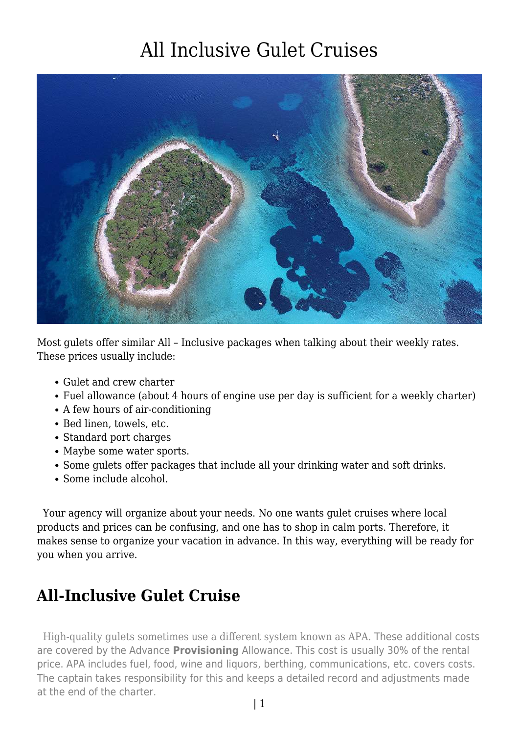

Most gulets offer similar All – Inclusive packages when talking about their weekly rates. These prices usually include:

- Gulet and crew charter
- Fuel allowance (about 4 hours of engine use per day is sufficient for a weekly charter)
- A few hours of air-conditioning
- Bed linen, towels, etc.
- Standard port charges
- Maybe some water sports.
- Some gulets offer packages that include all your drinking water and soft drinks.
- Some include alcohol.

 Your agency will organize about your needs. No one wants gulet cruises where local products and prices can be confusing, and one has to shop in calm ports. Therefore, it makes sense to organize your vacation in advance. In this way, everything will be ready for you when you arrive.

#### **All-Inclusive Gulet Cruise**

 High-quality gulets sometimes use a different system known as APA. These additional costs are covered by the Advance **Provisioning** Allowance. This cost is usually 30% of the rental price. APA includes fuel, food, wine and liquors, berthing, communications, etc. covers costs. The captain takes responsibility for this and keeps a detailed record and adjustments made at the end of the charter.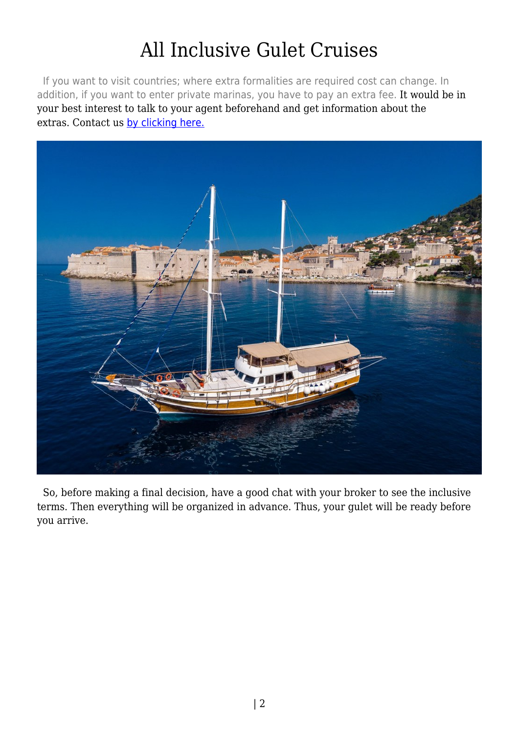If you want to visit countries; where extra formalities are required cost can change. In addition, if you want to enter private marinas, you have to pay an extra fee. It would be in your best interest to talk to your agent beforehand and get information about the extras. Contact us [by clicking here.](https://www.guletbroker.com/)



 So, before making a final decision, have a good chat with your broker to see the inclusive terms. Then everything will be organized in advance. Thus, your gulet will be ready before you arrive.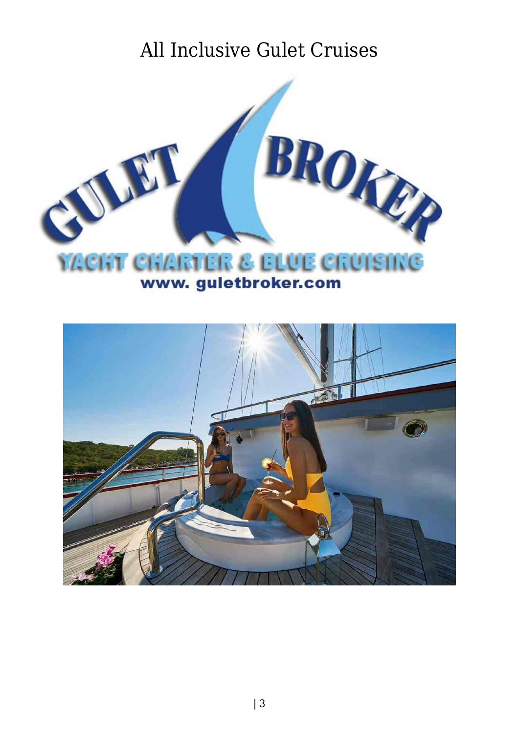